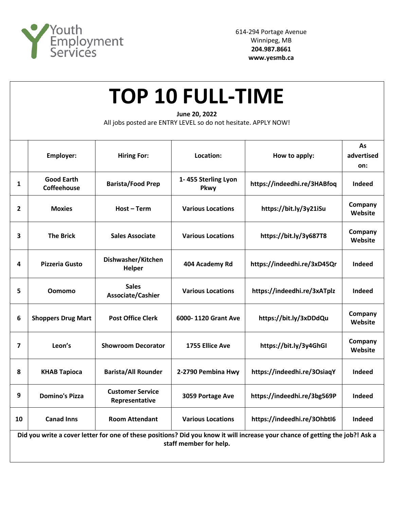

| <b>TOP 10 FULL-TIME</b><br>June 20, 2022<br>All jobs posted are ENTRY LEVEL so do not hesitate. APPLY NOW! |                                         |                                           |                             |                             |                         |  |  |  |  |
|------------------------------------------------------------------------------------------------------------|-----------------------------------------|-------------------------------------------|-----------------------------|-----------------------------|-------------------------|--|--|--|--|
|                                                                                                            | <b>Employer:</b>                        | <b>Hiring For:</b>                        | Location:                   | How to apply:               | As<br>advertised<br>on: |  |  |  |  |
| 1                                                                                                          | <b>Good Earth</b><br><b>Coffeehouse</b> | <b>Barista/Food Prep</b>                  | 1-455 Sterling Lyon<br>Pkwy | https://indeedhi.re/3HABfoq | <b>Indeed</b>           |  |  |  |  |
| 2                                                                                                          | <b>Moxies</b>                           | Host-Term                                 | <b>Various Locations</b>    | https://bit.ly/3y21iSu      | Company<br>Website      |  |  |  |  |
| 3                                                                                                          | <b>The Brick</b>                        | <b>Sales Associate</b>                    | <b>Various Locations</b>    | https://bit.ly/3y687T8      | Company<br>Website      |  |  |  |  |
| 4                                                                                                          | <b>Pizzeria Gusto</b>                   | Dishwasher/Kitchen<br>Helper              | 404 Academy Rd              | https://indeedhi.re/3xD45Qr | Indeed                  |  |  |  |  |
| 5                                                                                                          | <b>Oomomo</b>                           | <b>Sales</b><br>Associate/Cashier         | <b>Various Locations</b>    | https://indeedhi.re/3xATplz | Indeed                  |  |  |  |  |
| 6                                                                                                          | <b>Shoppers Drug Mart</b>               | <b>Post Office Clerk</b>                  | 6000-1120 Grant Ave         | https://bit.ly/3xDDdQu      | Company<br>Website      |  |  |  |  |
| 7                                                                                                          | Leon's                                  | <b>Showroom Decorator</b>                 | 1755 Ellice Ave             | https://bit.ly/3y4GhGI      | Company<br>Website      |  |  |  |  |
| 8                                                                                                          | <b>KHAB Tapioca</b>                     | <b>Barista/All Rounder</b>                | 2-2790 Pembina Hwy          | https://indeedhi.re/3OsiaqY | Indeed                  |  |  |  |  |
| 9                                                                                                          | <b>Domino's Pizza</b>                   | <b>Customer Service</b><br>Representative | 3059 Portage Ave            | https://indeedhi.re/3bg569P | Indeed                  |  |  |  |  |

**Did you write a cover letter for one of these positions? Did you know it will increase your chance of getting the job?! Ask a staff member for help.**

**10 Canad Inns Room Attendant Various Locations https://indeedhi.re/3OhbtI6 Indeed**